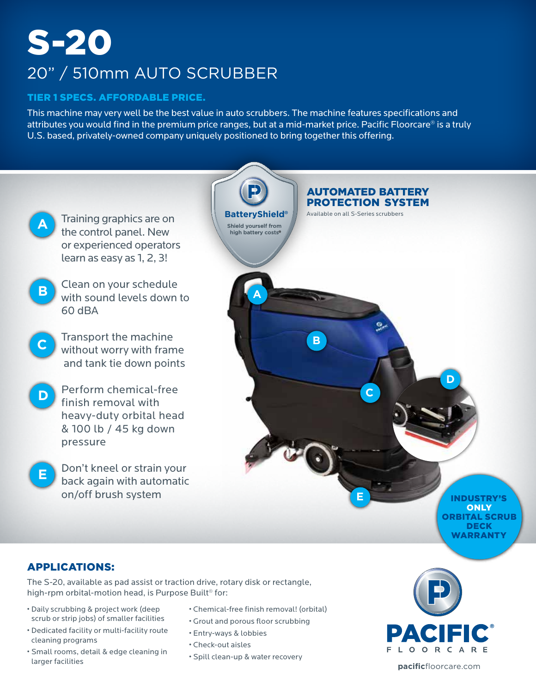# S-20

## 20" / 510mm AUTO SCRUBBER

#### TIER 1 SPECS. AFFORDABLE PRICE.

This machine may very well be the best value in auto scrubbers. The machine features specifications and attributes you would find in the premium price ranges, but at a mid-market price. Pacific Floorcare® is a truly U.S. based, privately-owned company uniquely positioned to bring together this offering.



### APPLICATIONS:

The S-20, available as pad assist or traction drive, rotary disk or rectangle, high-rpm orbital-motion head, is Purpose Built<sup>®</sup> for:

- Daily scrubbing & project work (deep scrub or strip jobs) of smaller facilities
- Dedicated facility or multi-facility route cleaning programs
- Small rooms, detail & edge cleaning in larger facilities
- Chemical-free finish removal! (orbital)
- Grout and porous floor scrubbing
- Entry-ways & lobbies
- Check-out aisles
- Spill clean-up & water recovery



**pacific**floorcare.com